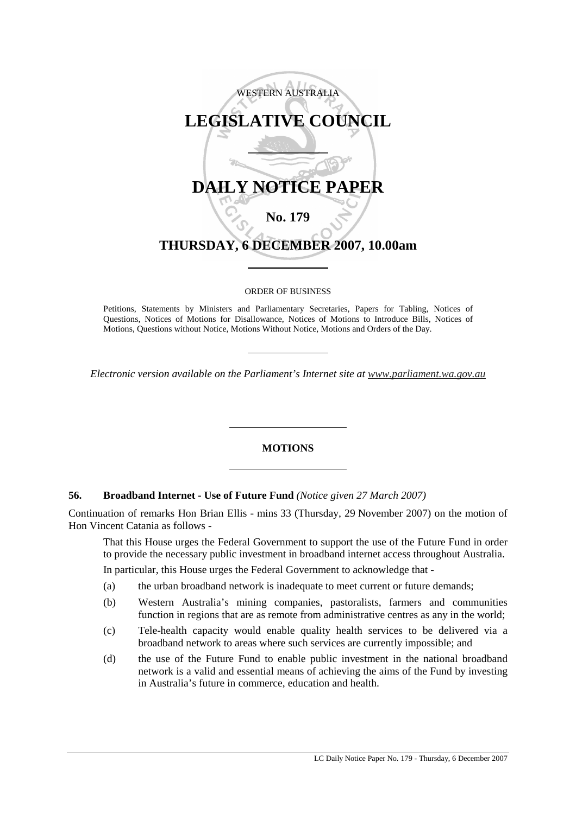

#### ORDER OF BUSINESS

Petitions, Statements by Ministers and Parliamentary Secretaries, Papers for Tabling, Notices of Questions, Notices of Motions for Disallowance, Notices of Motions to Introduce Bills, Notices of Motions, Questions without Notice, Motions Without Notice, Motions and Orders of the Day.

*Electronic version available on the Parliament's Internet site at www.parliament.wa.gov.au*

### **MOTIONS**

### **56. Broadband Internet - Use of Future Fund** *(Notice given 27 March 2007)*

 $\overline{\phantom{a}}$ 

 $\overline{a}$ 

Continuation of remarks Hon Brian Ellis - mins 33 (Thursday, 29 November 2007) on the motion of Hon Vincent Catania as follows -

That this House urges the Federal Government to support the use of the Future Fund in order to provide the necessary public investment in broadband internet access throughout Australia.

In particular, this House urges the Federal Government to acknowledge that -

- (a) the urban broadband network is inadequate to meet current or future demands;
- (b) Western Australia's mining companies, pastoralists, farmers and communities function in regions that are as remote from administrative centres as any in the world;
- (c) Tele-health capacity would enable quality health services to be delivered via a broadband network to areas where such services are currently impossible; and
- (d) the use of the Future Fund to enable public investment in the national broadband network is a valid and essential means of achieving the aims of the Fund by investing in Australia's future in commerce, education and health.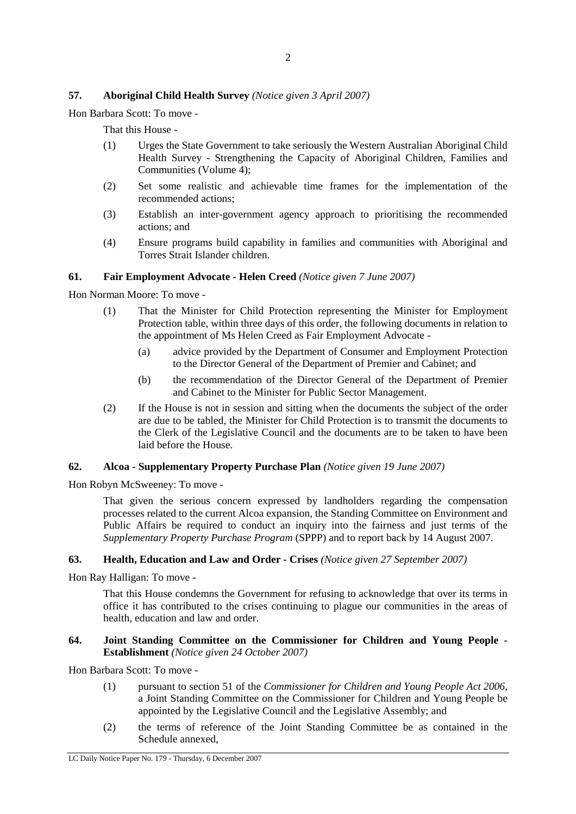# **57. Aboriginal Child Health Survey** *(Notice given 3 April 2007)*

Hon Barbara Scott: To move -

That this House -

- (1) Urges the State Government to take seriously the Western Australian Aboriginal Child Health Survey - Strengthening the Capacity of Aboriginal Children, Families and Communities (Volume 4);
- (2) Set some realistic and achievable time frames for the implementation of the recommended actions;
- (3) Establish an inter-government agency approach to prioritising the recommended actions; and
- (4) Ensure programs build capability in families and communities with Aboriginal and Torres Strait Islander children.

# **61. Fair Employment Advocate - Helen Creed** *(Notice given 7 June 2007)*

Hon Norman Moore: To move -

- (1) That the Minister for Child Protection representing the Minister for Employment Protection table, within three days of this order, the following documents in relation to the appointment of Ms Helen Creed as Fair Employment Advocate -
	- (a) advice provided by the Department of Consumer and Employment Protection to the Director General of the Department of Premier and Cabinet; and
	- (b) the recommendation of the Director General of the Department of Premier and Cabinet to the Minister for Public Sector Management.
- (2) If the House is not in session and sitting when the documents the subject of the order are due to be tabled, the Minister for Child Protection is to transmit the documents to the Clerk of the Legislative Council and the documents are to be taken to have been laid before the House.

### **62. Alcoa - Supplementary Property Purchase Plan** *(Notice given 19 June 2007)*

Hon Robyn McSweeney: To move -

That given the serious concern expressed by landholders regarding the compensation processes related to the current Alcoa expansion, the Standing Committee on Environment and Public Affairs be required to conduct an inquiry into the fairness and just terms of the *Supplementary Property Purchase Program* (SPPP) and to report back by 14 August 2007.

### **63. Health, Education and Law and Order - Crises** *(Notice given 27 September 2007)*

Hon Ray Halligan: To move -

That this House condemns the Government for refusing to acknowledge that over its terms in office it has contributed to the crises continuing to plague our communities in the areas of health, education and law and order.

# **64. Joint Standing Committee on the Commissioner for Children and Young People - Establishment** *(Notice given 24 October 2007)*

Hon Barbara Scott: To move -

- (1) pursuant to section 51 of the *Commissioner for Children and Young People Act 2006*, a Joint Standing Committee on the Commissioner for Children and Young People be appointed by the Legislative Council and the Legislative Assembly; and
- (2) the terms of reference of the Joint Standing Committee be as contained in the Schedule annexed,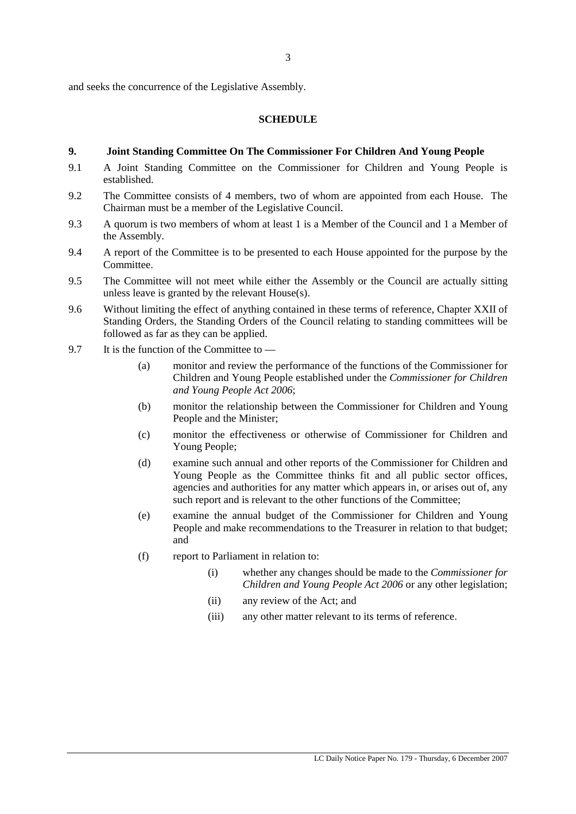and seeks the concurrence of the Legislative Assembly.

#### **SCHEDULE**

#### **9. Joint Standing Committee On The Commissioner For Children And Young People**

- 9.1 A Joint Standing Committee on the Commissioner for Children and Young People is established.
- 9.2 The Committee consists of 4 members, two of whom are appointed from each House. The Chairman must be a member of the Legislative Council.
- 9.3 A quorum is two members of whom at least 1 is a Member of the Council and 1 a Member of the Assembly.
- 9.4 A report of the Committee is to be presented to each House appointed for the purpose by the Committee.
- 9.5 The Committee will not meet while either the Assembly or the Council are actually sitting unless leave is granted by the relevant House(s).
- 9.6 Without limiting the effect of anything contained in these terms of reference, Chapter XXII of Standing Orders, the Standing Orders of the Council relating to standing committees will be followed as far as they can be applied.
- 9.7 It is the function of the Committee to
	- (a) monitor and review the performance of the functions of the Commissioner for Children and Young People established under the *Commissioner for Children and Young People Act 2006*;
	- (b) monitor the relationship between the Commissioner for Children and Young People and the Minister;
	- (c) monitor the effectiveness or otherwise of Commissioner for Children and Young People;
	- (d) examine such annual and other reports of the Commissioner for Children and Young People as the Committee thinks fit and all public sector offices, agencies and authorities for any matter which appears in, or arises out of, any such report and is relevant to the other functions of the Committee;
	- (e) examine the annual budget of the Commissioner for Children and Young People and make recommendations to the Treasurer in relation to that budget; and
	- (f) report to Parliament in relation to:
		- (i) whether any changes should be made to the *Commissioner for Children and Young People Act 2006* or any other legislation;
		- (ii) any review of the Act; and
		- (iii) any other matter relevant to its terms of reference.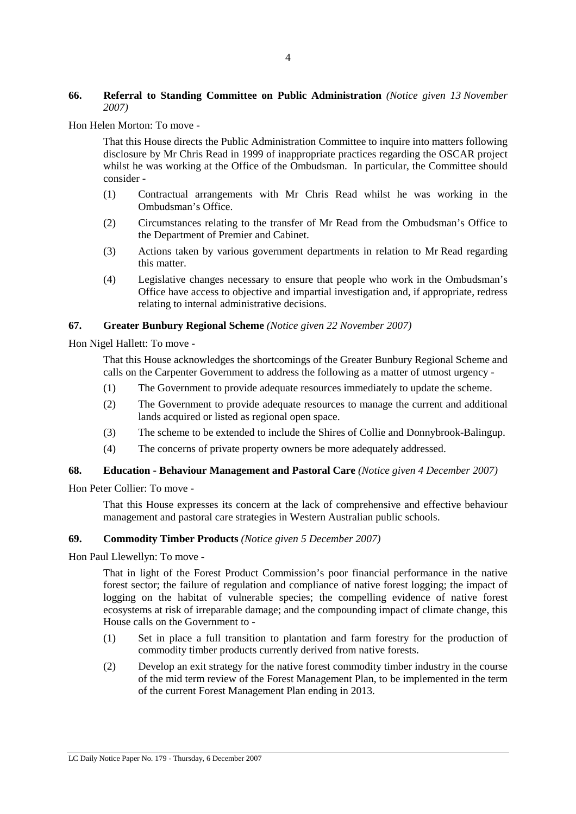# **66. Referral to Standing Committee on Public Administration** *(Notice given 13 November 2007)*

Hon Helen Morton: To move -

That this House directs the Public Administration Committee to inquire into matters following disclosure by Mr Chris Read in 1999 of inappropriate practices regarding the OSCAR project whilst he was working at the Office of the Ombudsman. In particular, the Committee should consider -

- (1) Contractual arrangements with Mr Chris Read whilst he was working in the Ombudsman's Office.
- (2) Circumstances relating to the transfer of Mr Read from the Ombudsman's Office to the Department of Premier and Cabinet.
- (3) Actions taken by various government departments in relation to Mr Read regarding this matter.
- (4) Legislative changes necessary to ensure that people who work in the Ombudsman's Office have access to objective and impartial investigation and, if appropriate, redress relating to internal administrative decisions.

# **67. Greater Bunbury Regional Scheme** *(Notice given 22 November 2007)*

Hon Nigel Hallett: To move -

That this House acknowledges the shortcomings of the Greater Bunbury Regional Scheme and calls on the Carpenter Government to address the following as a matter of utmost urgency -

- (1) The Government to provide adequate resources immediately to update the scheme.
- (2) The Government to provide adequate resources to manage the current and additional lands acquired or listed as regional open space.
- (3) The scheme to be extended to include the Shires of Collie and Donnybrook-Balingup.
- (4) The concerns of private property owners be more adequately addressed.

### **68. Education - Behaviour Management and Pastoral Care** *(Notice given 4 December 2007)*

Hon Peter Collier: To move -

That this House expresses its concern at the lack of comprehensive and effective behaviour management and pastoral care strategies in Western Australian public schools.

### **69. Commodity Timber Products** *(Notice given 5 December 2007)*

Hon Paul Llewellyn: To move -

That in light of the Forest Product Commission's poor financial performance in the native forest sector; the failure of regulation and compliance of native forest logging; the impact of logging on the habitat of vulnerable species; the compelling evidence of native forest ecosystems at risk of irreparable damage; and the compounding impact of climate change, this House calls on the Government to -

- (1) Set in place a full transition to plantation and farm forestry for the production of commodity timber products currently derived from native forests.
- (2) Develop an exit strategy for the native forest commodity timber industry in the course of the mid term review of the Forest Management Plan, to be implemented in the term of the current Forest Management Plan ending in 2013.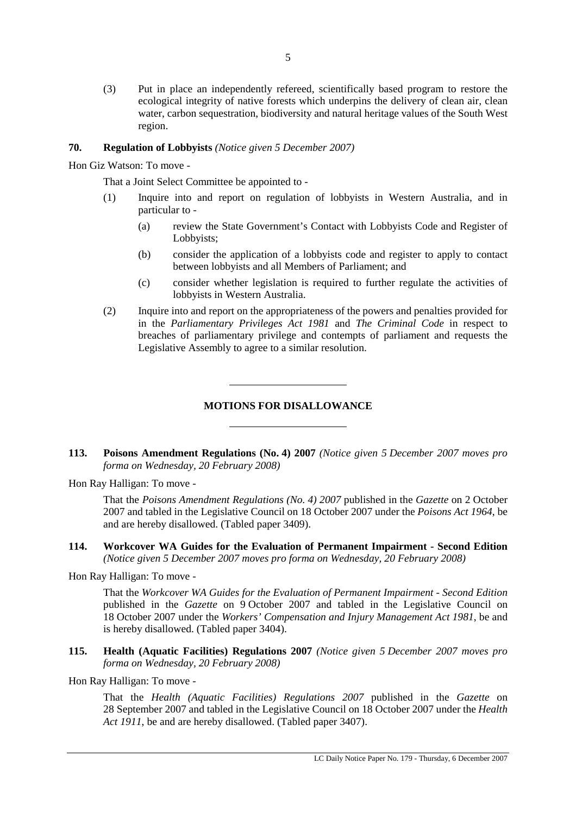(3) Put in place an independently refereed, scientifically based program to restore the ecological integrity of native forests which underpins the delivery of clean air, clean water, carbon sequestration, biodiversity and natural heritage values of the South West region.

# **70. Regulation of Lobbyists** *(Notice given 5 December 2007)*

Hon Giz Watson: To move -

That a Joint Select Committee be appointed to -

- (1) Inquire into and report on regulation of lobbyists in Western Australia, and in particular to -
	- (a) review the State Government's Contact with Lobbyists Code and Register of Lobbyists;
	- (b) consider the application of a lobbyists code and register to apply to contact between lobbyists and all Members of Parliament; and
	- (c) consider whether legislation is required to further regulate the activities of lobbyists in Western Australia.
- (2) Inquire into and report on the appropriateness of the powers and penalties provided for in the *Parliamentary Privileges Act 1981* and *The Criminal Code* in respect to breaches of parliamentary privilege and contempts of parliament and requests the Legislative Assembly to agree to a similar resolution.

# **MOTIONS FOR DISALLOWANCE**

 $\overline{a}$ 

 $\overline{\phantom{a}}$ 

**113. Poisons Amendment Regulations (No. 4) 2007** *(Notice given 5 December 2007 moves pro forma on Wednesday, 20 February 2008)* 

Hon Ray Halligan: To move -

That the *Poisons Amendment Regulations (No. 4) 2007* published in the *Gazette* on 2 October 2007 and tabled in the Legislative Council on 18 October 2007 under the *Poisons Act 1964*, be and are hereby disallowed. (Tabled paper 3409).

**114. Workcover WA Guides for the Evaluation of Permanent Impairment - Second Edition** *(Notice given 5 December 2007 moves pro forma on Wednesday, 20 February 2008)* 

Hon Ray Halligan: To move -

That the *Workcover WA Guides for the Evaluation of Permanent Impairment - Second Edition* published in the *Gazette* on 9 October 2007 and tabled in the Legislative Council on 18 October 2007 under the *Workers' Compensation and Injury Management Act 1981*, be and is hereby disallowed. (Tabled paper 3404).

**115. Health (Aquatic Facilities) Regulations 2007** *(Notice given 5 December 2007 moves pro forma on Wednesday, 20 February 2008)* 

Hon Ray Halligan: To move -

That the *Health (Aquatic Facilities) Regulations 2007* published in the *Gazette* on 28 September 2007 and tabled in the Legislative Council on 18 October 2007 under the *Health Act 1911*, be and are hereby disallowed. (Tabled paper 3407).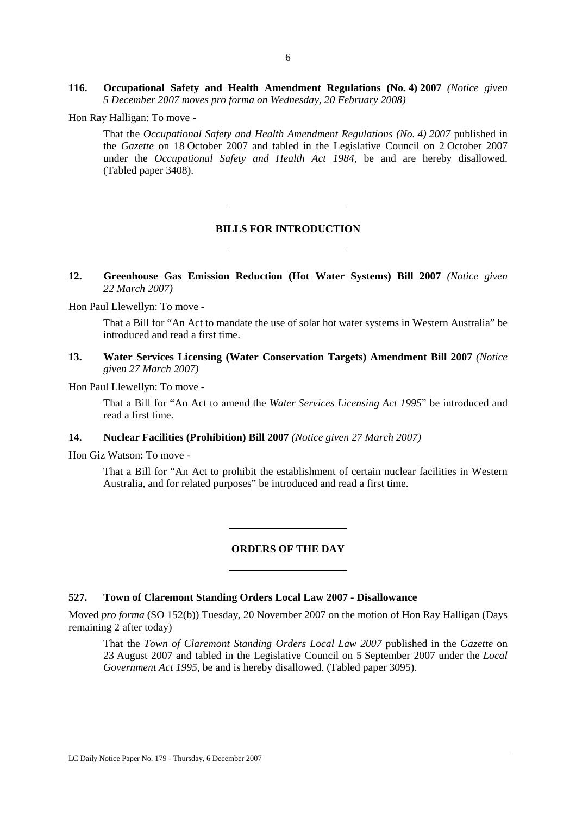**116. Occupational Safety and Health Amendment Regulations (No. 4) 2007** *(Notice given 5 December 2007 moves pro forma on Wednesday, 20 February 2008)* 

Hon Ray Halligan: To move -

That the *Occupational Safety and Health Amendment Regulations (No. 4) 2007* published in the *Gazette* on 18 October 2007 and tabled in the Legislative Council on 2 October 2007 under the *Occupational Safety and Health Act 1984*, be and are hereby disallowed. (Tabled paper 3408).

# **BILLS FOR INTRODUCTION**

 $\overline{\phantom{a}}$ 

 $\overline{a}$ 

**12. Greenhouse Gas Emission Reduction (Hot Water Systems) Bill 2007** *(Notice given 22 March 2007)* 

Hon Paul Llewellyn: To move -

That a Bill for "An Act to mandate the use of solar hot water systems in Western Australia" be introduced and read a first time.

**13. Water Services Licensing (Water Conservation Targets) Amendment Bill 2007** *(Notice given 27 March 2007)* 

Hon Paul Llewellyn: To move -

That a Bill for "An Act to amend the *Water Services Licensing Act 1995*" be introduced and read a first time.

**14. Nuclear Facilities (Prohibition) Bill 2007** *(Notice given 27 March 2007)* 

Hon Giz Watson: To move -

That a Bill for "An Act to prohibit the establishment of certain nuclear facilities in Western Australia, and for related purposes" be introduced and read a first time.

### **ORDERS OF THE DAY**

#### **527. Town of Claremont Standing Orders Local Law 2007 - Disallowance**

 $\overline{a}$ 

 $\overline{a}$ 

Moved *pro forma* (SO 152(b)) Tuesday, 20 November 2007 on the motion of Hon Ray Halligan (Days remaining 2 after today)

That the *Town of Claremont Standing Orders Local Law 2007* published in the *Gazette* on 23 August 2007 and tabled in the Legislative Council on 5 September 2007 under the *Local Government Act 1995*, be and is hereby disallowed. (Tabled paper 3095).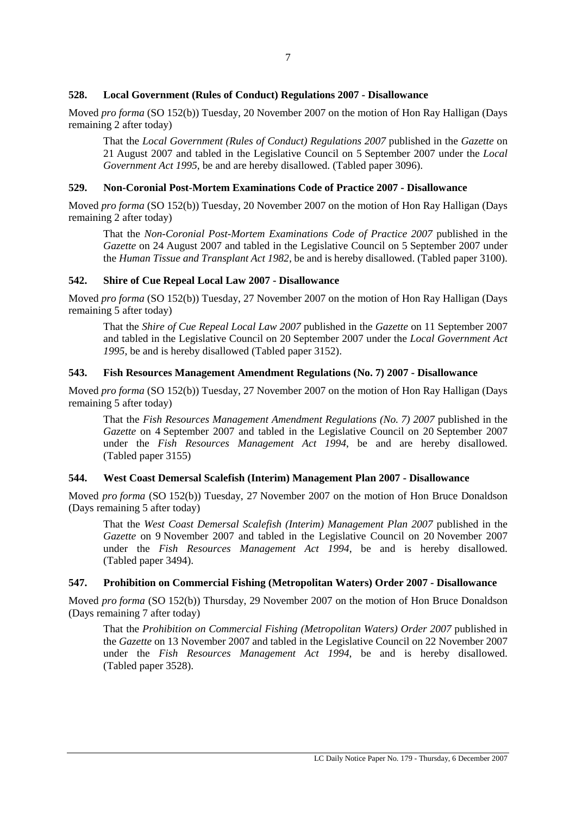# **528. Local Government (Rules of Conduct) Regulations 2007 - Disallowance**

Moved *pro forma* (SO 152(b)) Tuesday, 20 November 2007 on the motion of Hon Ray Halligan (Days remaining 2 after today)

That the *Local Government (Rules of Conduct) Regulations 2007* published in the *Gazette* on 21 August 2007 and tabled in the Legislative Council on 5 September 2007 under the *Local Government Act 1995*, be and are hereby disallowed. (Tabled paper 3096).

### **529. Non-Coronial Post-Mortem Examinations Code of Practice 2007 - Disallowance**

Moved *pro forma* (SO 152(b)) Tuesday, 20 November 2007 on the motion of Hon Ray Halligan (Days remaining 2 after today)

That the *Non-Coronial Post-Mortem Examinations Code of Practice 2007* published in the *Gazette* on 24 August 2007 and tabled in the Legislative Council on 5 September 2007 under the *Human Tissue and Transplant Act 1982*, be and is hereby disallowed. (Tabled paper 3100).

#### **542. Shire of Cue Repeal Local Law 2007 - Disallowance**

Moved *pro forma* (SO 152(b)) Tuesday, 27 November 2007 on the motion of Hon Ray Halligan (Days remaining 5 after today)

That the *Shire of Cue Repeal Local Law 2007* published in the *Gazette* on 11 September 2007 and tabled in the Legislative Council on 20 September 2007 under the *Local Government Act 1995*, be and is hereby disallowed (Tabled paper 3152).

### **543. Fish Resources Management Amendment Regulations (No. 7) 2007 - Disallowance**

Moved *pro forma* (SO 152(b)) Tuesday, 27 November 2007 on the motion of Hon Ray Halligan (Days remaining 5 after today)

That the *Fish Resources Management Amendment Regulations (No. 7) 2007* published in the *Gazette* on 4 September 2007 and tabled in the Legislative Council on 20 September 2007 under the *Fish Resources Management Act 1994*, be and are hereby disallowed. (Tabled paper 3155)

### **544. West Coast Demersal Scalefish (Interim) Management Plan 2007 - Disallowance**

Moved *pro forma* (SO 152(b)) Tuesday, 27 November 2007 on the motion of Hon Bruce Donaldson (Days remaining 5 after today)

That the *West Coast Demersal Scalefish (Interim) Management Plan 2007* published in the *Gazette* on 9 November 2007 and tabled in the Legislative Council on 20 November 2007 under the *Fish Resources Management Act 1994*, be and is hereby disallowed. (Tabled paper 3494).

### **547. Prohibition on Commercial Fishing (Metropolitan Waters) Order 2007 - Disallowance**

Moved *pro forma* (SO 152(b)) Thursday, 29 November 2007 on the motion of Hon Bruce Donaldson (Days remaining 7 after today)

That the *Prohibition on Commercial Fishing (Metropolitan Waters) Order 2007* published in the *Gazette* on 13 November 2007 and tabled in the Legislative Council on 22 November 2007 under the *Fish Resources Management Act 1994*, be and is hereby disallowed. (Tabled paper 3528).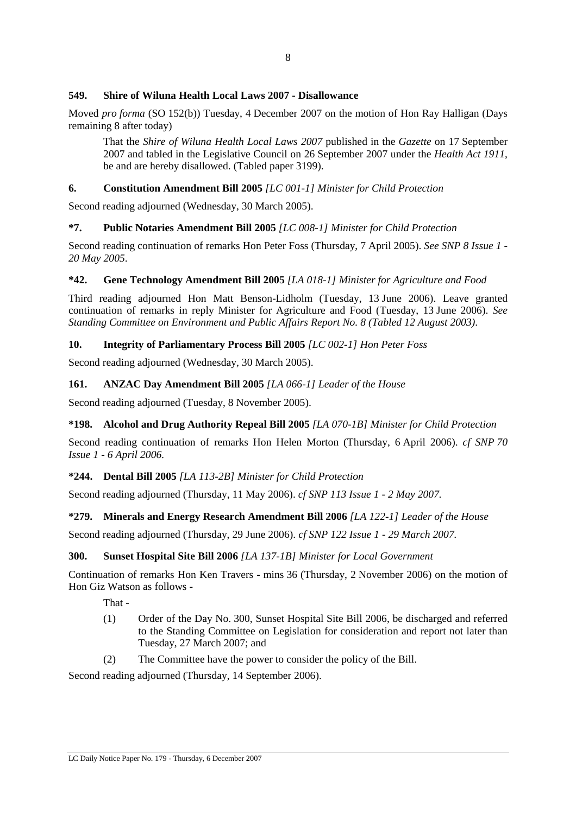# **549. Shire of Wiluna Health Local Laws 2007 - Disallowance**

Moved *pro forma* (SO 152(b)) Tuesday, 4 December 2007 on the motion of Hon Ray Halligan (Days remaining 8 after today)

That the *Shire of Wiluna Health Local Laws 2007* published in the *Gazette* on 17 September 2007 and tabled in the Legislative Council on 26 September 2007 under the *Health Act 1911*, be and are hereby disallowed. (Tabled paper 3199).

# **6. Constitution Amendment Bill 2005** *[LC 001-1] Minister for Child Protection*

Second reading adjourned (Wednesday, 30 March 2005).

# **\*7. Public Notaries Amendment Bill 2005** *[LC 008-1] Minister for Child Protection*

Second reading continuation of remarks Hon Peter Foss (Thursday, 7 April 2005). *See SNP 8 Issue 1 - 20 May 2005*.

# **\*42. Gene Technology Amendment Bill 2005** *[LA 018-1] Minister for Agriculture and Food*

Third reading adjourned Hon Matt Benson-Lidholm (Tuesday, 13 June 2006). Leave granted continuation of remarks in reply Minister for Agriculture and Food (Tuesday, 13 June 2006). *See Standing Committee on Environment and Public Affairs Report No. 8 (Tabled 12 August 2003)*.

# **10. Integrity of Parliamentary Process Bill 2005** *[LC 002-1] Hon Peter Foss*

Second reading adjourned (Wednesday, 30 March 2005).

# **161. ANZAC Day Amendment Bill 2005** *[LA 066-1] Leader of the House*

Second reading adjourned (Tuesday, 8 November 2005).

# **\*198. Alcohol and Drug Authority Repeal Bill 2005** *[LA 070-1B] Minister for Child Protection*

Second reading continuation of remarks Hon Helen Morton (Thursday, 6 April 2006). *cf SNP 70 Issue 1 - 6 April 2006.*

# **\*244. Dental Bill 2005** *[LA 113-2B] Minister for Child Protection*

Second reading adjourned (Thursday, 11 May 2006). *cf SNP 113 Issue 1 - 2 May 2007.*

# **\*279. Minerals and Energy Research Amendment Bill 2006** *[LA 122-1] Leader of the House*

Second reading adjourned (Thursday, 29 June 2006). *cf SNP 122 Issue 1 - 29 March 2007.*

### **300. Sunset Hospital Site Bill 2006** *[LA 137-1B] Minister for Local Government*

Continuation of remarks Hon Ken Travers - mins 36 (Thursday, 2 November 2006) on the motion of Hon Giz Watson as follows -

That -

- (1) Order of the Day No. 300, Sunset Hospital Site Bill 2006, be discharged and referred to the Standing Committee on Legislation for consideration and report not later than Tuesday, 27 March 2007; and
- (2) The Committee have the power to consider the policy of the Bill.

Second reading adjourned (Thursday, 14 September 2006).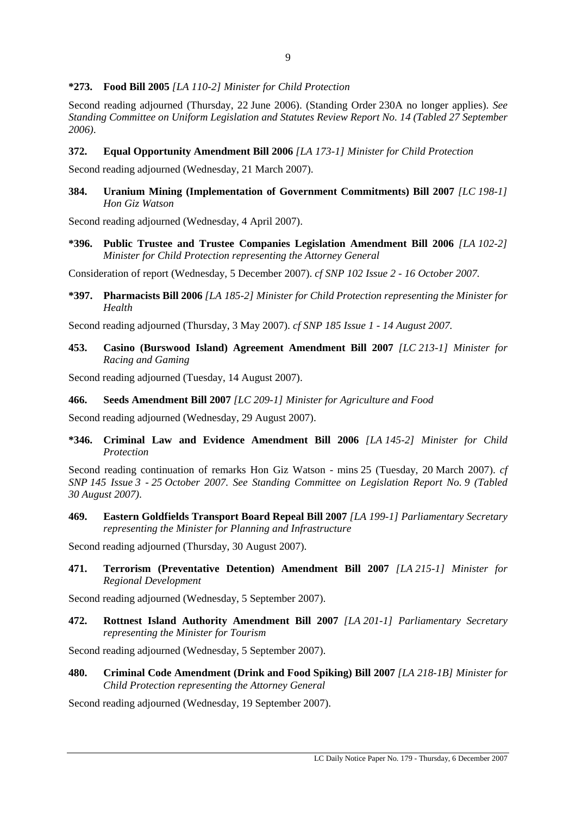# **\*273. Food Bill 2005** *[LA 110-2] Minister for Child Protection*

Second reading adjourned (Thursday, 22 June 2006). (Standing Order 230A no longer applies). *See Standing Committee on Uniform Legislation and Statutes Review Report No. 14 (Tabled 27 September 2006)*.

# **372. Equal Opportunity Amendment Bill 2006** *[LA 173-1] Minister for Child Protection*

Second reading adjourned (Wednesday, 21 March 2007).

# **384. Uranium Mining (Implementation of Government Commitments) Bill 2007** *[LC 198-1] Hon Giz Watson*

Second reading adjourned (Wednesday, 4 April 2007).

**\*396. Public Trustee and Trustee Companies Legislation Amendment Bill 2006** *[LA 102-2] Minister for Child Protection representing the Attorney General*

Consideration of report (Wednesday, 5 December 2007). *cf SNP 102 Issue 2 - 16 October 2007.*

**\*397. Pharmacists Bill 2006** *[LA 185-2] Minister for Child Protection representing the Minister for Health*

Second reading adjourned (Thursday, 3 May 2007). *cf SNP 185 Issue 1 - 14 August 2007.*

**453. Casino (Burswood Island) Agreement Amendment Bill 2007** *[LC 213-1] Minister for Racing and Gaming*

Second reading adjourned (Tuesday, 14 August 2007).

**466. Seeds Amendment Bill 2007** *[LC 209-1] Minister for Agriculture and Food*

Second reading adjourned (Wednesday, 29 August 2007).

**\*346. Criminal Law and Evidence Amendment Bill 2006** *[LA 145-2] Minister for Child Protection* 

Second reading continuation of remarks Hon Giz Watson - mins 25 (Tuesday, 20 March 2007). *cf SNP 145 Issue 3 - 25 October 2007. See Standing Committee on Legislation Report No. 9 (Tabled 30 August 2007)*.

**469. Eastern Goldfields Transport Board Repeal Bill 2007** *[LA 199-1] Parliamentary Secretary representing the Minister for Planning and Infrastructure*

Second reading adjourned (Thursday, 30 August 2007).

**471. Terrorism (Preventative Detention) Amendment Bill 2007** *[LA 215-1] Minister for Regional Development*

Second reading adjourned (Wednesday, 5 September 2007).

**472. Rottnest Island Authority Amendment Bill 2007** *[LA 201-1] Parliamentary Secretary representing the Minister for Tourism* 

Second reading adjourned (Wednesday, 5 September 2007).

**480. Criminal Code Amendment (Drink and Food Spiking) Bill 2007** *[LA 218-1B] Minister for Child Protection representing the Attorney General*

Second reading adjourned (Wednesday, 19 September 2007).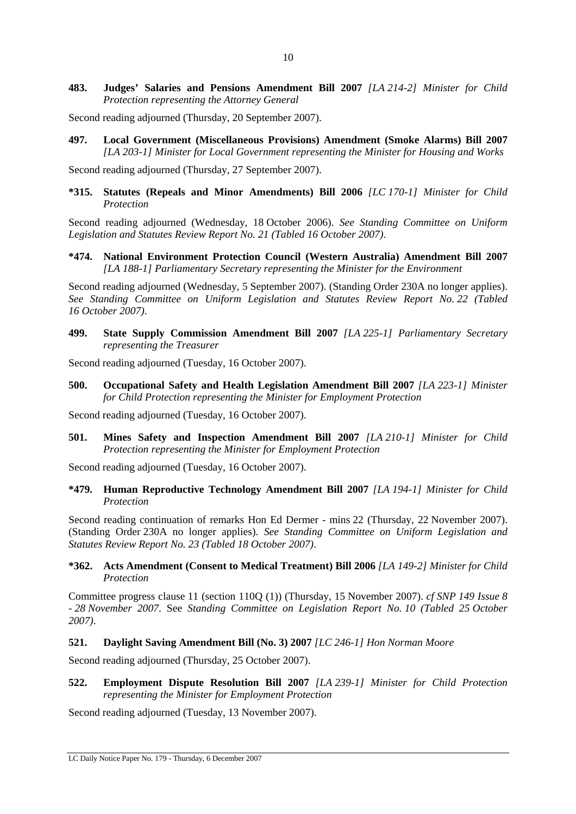**483. Judges' Salaries and Pensions Amendment Bill 2007** *[LA 214-2] Minister for Child Protection representing the Attorney General*

Second reading adjourned (Thursday, 20 September 2007).

**497. Local Government (Miscellaneous Provisions) Amendment (Smoke Alarms) Bill 2007**  *[LA 203-1] Minister for Local Government representing the Minister for Housing and Works*

Second reading adjourned (Thursday, 27 September 2007).

**\*315. Statutes (Repeals and Minor Amendments) Bill 2006** *[LC 170-1] Minister for Child Protection*

Second reading adjourned (Wednesday, 18 October 2006). *See Standing Committee on Uniform Legislation and Statutes Review Report No. 21 (Tabled 16 October 2007)*.

**\*474. National Environment Protection Council (Western Australia) Amendment Bill 2007**  *[LA 188-1] Parliamentary Secretary representing the Minister for the Environment* 

Second reading adjourned (Wednesday, 5 September 2007). (Standing Order 230A no longer applies). *See Standing Committee on Uniform Legislation and Statutes Review Report No. 22 (Tabled 16 October 2007)*.

**499. State Supply Commission Amendment Bill 2007** *[LA 225-1] Parliamentary Secretary representing the Treasurer*

Second reading adjourned (Tuesday, 16 October 2007).

**500. Occupational Safety and Health Legislation Amendment Bill 2007** *[LA 223-1] Minister for Child Protection representing the Minister for Employment Protection*

Second reading adjourned (Tuesday, 16 October 2007).

**501. Mines Safety and Inspection Amendment Bill 2007** *[LA 210-1] Minister for Child Protection representing the Minister for Employment Protection*

Second reading adjourned (Tuesday, 16 October 2007).

**\*479. Human Reproductive Technology Amendment Bill 2007** *[LA 194-1] Minister for Child Protection*

Second reading continuation of remarks Hon Ed Dermer - mins 22 (Thursday, 22 November 2007). (Standing Order 230A no longer applies). *See Standing Committee on Uniform Legislation and Statutes Review Report No. 23 (Tabled 18 October 2007)*.

### **\*362. Acts Amendment (Consent to Medical Treatment) Bill 2006** *[LA 149-2] Minister for Child Protection*

Committee progress clause 11 (section 110Q (1)) (Thursday, 15 November 2007). *cf SNP 149 Issue 8 - 28 November 2007*. See *Standing Committee on Legislation Report No. 10 (Tabled 25 October 2007)*.

**521. Daylight Saving Amendment Bill (No. 3) 2007** *[LC 246-1] Hon Norman Moore*

Second reading adjourned (Thursday, 25 October 2007).

**522. Employment Dispute Resolution Bill 2007** *[LA 239-1] Minister for Child Protection representing the Minister for Employment Protection*

Second reading adjourned (Tuesday, 13 November 2007).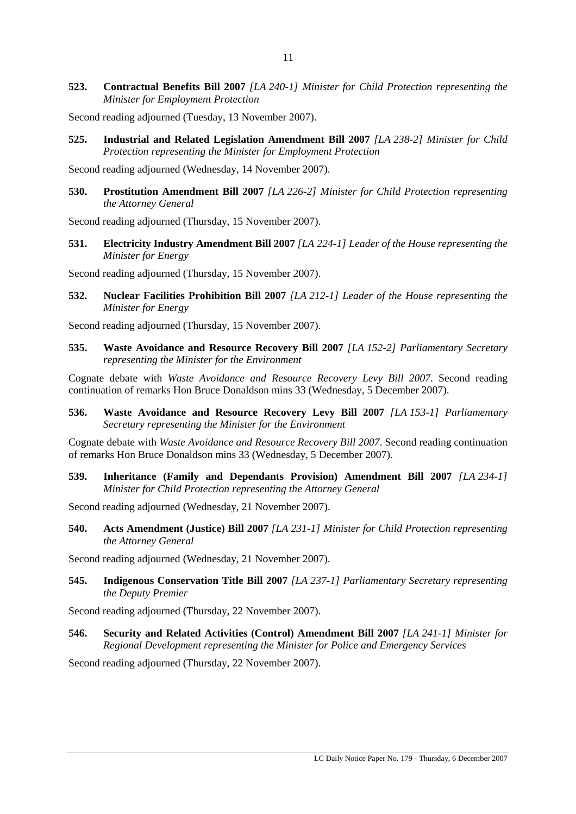**523. Contractual Benefits Bill 2007** *[LA 240-1] Minister for Child Protection representing the Minister for Employment Protection*

Second reading adjourned (Tuesday, 13 November 2007).

**525. Industrial and Related Legislation Amendment Bill 2007** *[LA 238-2] Minister for Child Protection representing the Minister for Employment Protection*

Second reading adjourned (Wednesday, 14 November 2007).

**530. Prostitution Amendment Bill 2007** *[LA 226-2] Minister for Child Protection representing the Attorney General*

Second reading adjourned (Thursday, 15 November 2007).

**531. Electricity Industry Amendment Bill 2007** *[LA 224-1] Leader of the House representing the Minister for Energy*

Second reading adjourned (Thursday, 15 November 2007).

**532. Nuclear Facilities Prohibition Bill 2007** *[LA 212-1] Leader of the House representing the Minister for Energy*

Second reading adjourned (Thursday, 15 November 2007).

**535. Waste Avoidance and Resource Recovery Bill 2007** *[LA 152-2] Parliamentary Secretary representing the Minister for the Environment*

Cognate debate with *Waste Avoidance and Resource Recovery Levy Bill 2007*. Second reading continuation of remarks Hon Bruce Donaldson mins 33 (Wednesday, 5 December 2007).

**536. Waste Avoidance and Resource Recovery Levy Bill 2007** *[LA 153-1] Parliamentary Secretary representing the Minister for the Environment* 

Cognate debate with *Waste Avoidance and Resource Recovery Bill 2007*. Second reading continuation of remarks Hon Bruce Donaldson mins 33 (Wednesday, 5 December 2007).

**539. Inheritance (Family and Dependants Provision) Amendment Bill 2007** *[LA 234-1] Minister for Child Protection representing the Attorney General*

Second reading adjourned (Wednesday, 21 November 2007).

**540. Acts Amendment (Justice) Bill 2007** *[LA 231-1] Minister for Child Protection representing the Attorney General*

Second reading adjourned (Wednesday, 21 November 2007).

**545. Indigenous Conservation Title Bill 2007** *[LA 237-1] Parliamentary Secretary representing the Deputy Premier*

Second reading adjourned (Thursday, 22 November 2007).

**546. Security and Related Activities (Control) Amendment Bill 2007** *[LA 241-1] Minister for Regional Development representing the Minister for Police and Emergency Services*

Second reading adjourned (Thursday, 22 November 2007).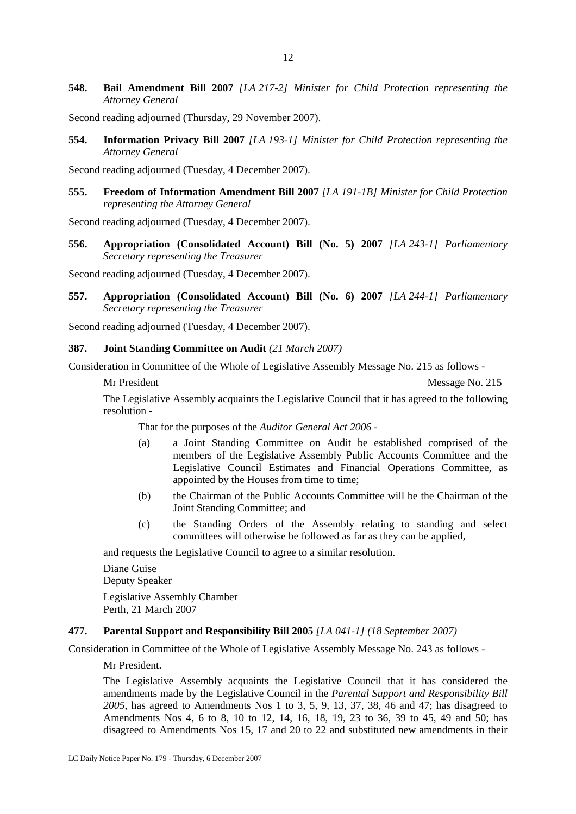**548. Bail Amendment Bill 2007** *[LA 217-2] Minister for Child Protection representing the Attorney General*

Second reading adjourned (Thursday, 29 November 2007).

**554. Information Privacy Bill 2007** *[LA 193-1] Minister for Child Protection representing the Attorney General*

Second reading adjourned (Tuesday, 4 December 2007).

**555. Freedom of Information Amendment Bill 2007** *[LA 191-1B] Minister for Child Protection representing the Attorney General*

Second reading adjourned (Tuesday, 4 December 2007).

**556. Appropriation (Consolidated Account) Bill (No. 5) 2007** *[LA 243-1] Parliamentary Secretary representing the Treasurer*

Second reading adjourned (Tuesday, 4 December 2007).

**557. Appropriation (Consolidated Account) Bill (No. 6) 2007** *[LA 244-1] Parliamentary Secretary representing the Treasurer*

Second reading adjourned (Tuesday, 4 December 2007).

#### **387. Joint Standing Committee on Audit** *(21 March 2007)*

Consideration in Committee of the Whole of Legislative Assembly Message No. 215 as follows -

Mr President Message No. 215

The Legislative Assembly acquaints the Legislative Council that it has agreed to the following resolution -

That for the purposes of the *Auditor General Act 2006* -

- (a) a Joint Standing Committee on Audit be established comprised of the members of the Legislative Assembly Public Accounts Committee and the Legislative Council Estimates and Financial Operations Committee, as appointed by the Houses from time to time;
- (b) the Chairman of the Public Accounts Committee will be the Chairman of the Joint Standing Committee; and
- (c) the Standing Orders of the Assembly relating to standing and select committees will otherwise be followed as far as they can be applied,

and requests the Legislative Council to agree to a similar resolution.

Diane Guise Deputy Speaker Legislative Assembly Chamber Perth, 21 March 2007

### **477. Parental Support and Responsibility Bill 2005** *[LA 041-1] (18 September 2007)*

Consideration in Committee of the Whole of Legislative Assembly Message No. 243 as follows -

Mr President.

The Legislative Assembly acquaints the Legislative Council that it has considered the amendments made by the Legislative Council in the *Parental Support and Responsibility Bill 2005*, has agreed to Amendments Nos 1 to 3, 5, 9, 13, 37, 38, 46 and 47; has disagreed to Amendments Nos 4, 6 to 8, 10 to 12, 14, 16, 18, 19, 23 to 36, 39 to 45, 49 and 50; has disagreed to Amendments Nos 15, 17 and 20 to 22 and substituted new amendments in their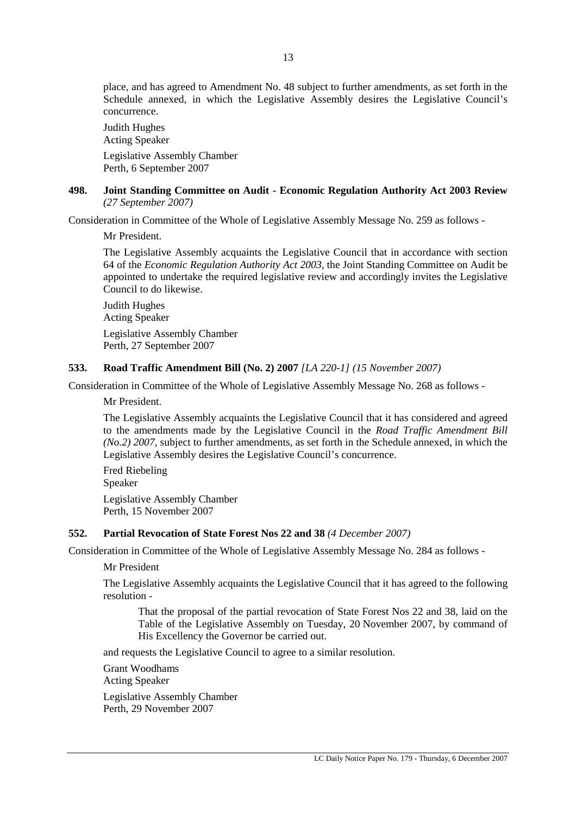place, and has agreed to Amendment No. 48 subject to further amendments, as set forth in the Schedule annexed, in which the Legislative Assembly desires the Legislative Council's concurrence.

Judith Hughes Acting Speaker Legislative Assembly Chamber Perth, 6 September 2007

# **498. Joint Standing Committee on Audit - Economic Regulation Authority Act 2003 Review** *(27 September 2007)*

Consideration in Committee of the Whole of Legislative Assembly Message No. 259 as follows -

Mr President.

The Legislative Assembly acquaints the Legislative Council that in accordance with section 64 of the *Economic Regulation Authority Act 2003*, the Joint Standing Committee on Audit be appointed to undertake the required legislative review and accordingly invites the Legislative Council to do likewise.

Judith Hughes Acting Speaker Legislative Assembly Chamber Perth, 27 September 2007

# **533. Road Traffic Amendment Bill (No. 2) 2007** *[LA 220-1] (15 November 2007)*

Consideration in Committee of the Whole of Legislative Assembly Message No. 268 as follows -

Mr President.

The Legislative Assembly acquaints the Legislative Council that it has considered and agreed to the amendments made by the Legislative Council in the *Road Traffic Amendment Bill (No.2) 2007,* subject to further amendments, as set forth in the Schedule annexed, in which the Legislative Assembly desires the Legislative Council's concurrence.

Fred Riebeling Speaker Legislative Assembly Chamber Perth, 15 November 2007

### **552. Partial Revocation of State Forest Nos 22 and 38** *(4 December 2007)*

Consideration in Committee of the Whole of Legislative Assembly Message No. 284 as follows -

Mr President

The Legislative Assembly acquaints the Legislative Council that it has agreed to the following resolution -

That the proposal of the partial revocation of State Forest Nos 22 and 38, laid on the Table of the Legislative Assembly on Tuesday, 20 November 2007, by command of His Excellency the Governor be carried out.

and requests the Legislative Council to agree to a similar resolution.

Grant Woodhams

Acting Speaker

Legislative Assembly Chamber Perth, 29 November 2007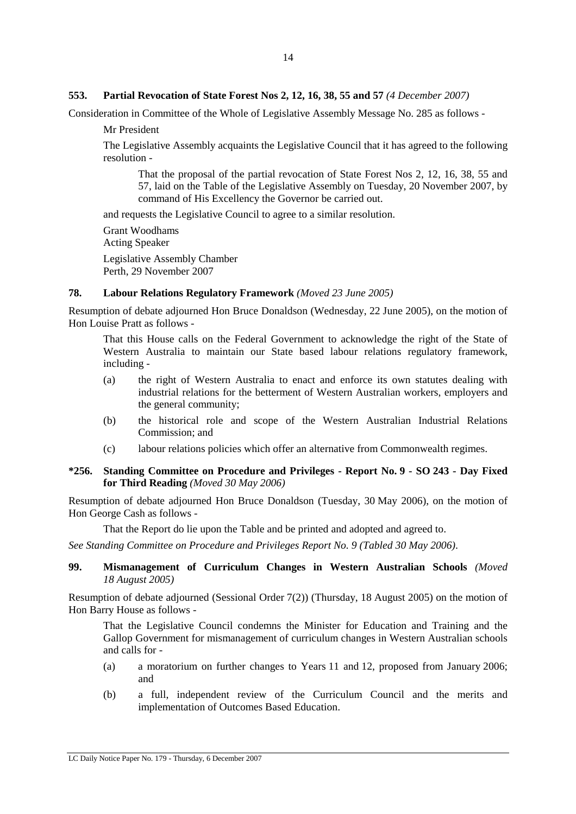### **553. Partial Revocation of State Forest Nos 2, 12, 16, 38, 55 and 57** *(4 December 2007)*

Consideration in Committee of the Whole of Legislative Assembly Message No. 285 as follows -

Mr President

The Legislative Assembly acquaints the Legislative Council that it has agreed to the following resolution -

That the proposal of the partial revocation of State Forest Nos 2, 12, 16, 38, 55 and 57, laid on the Table of the Legislative Assembly on Tuesday, 20 November 2007, by command of His Excellency the Governor be carried out.

and requests the Legislative Council to agree to a similar resolution.

Grant Woodhams Acting Speaker Legislative Assembly Chamber Perth, 29 November 2007

#### **78. Labour Relations Regulatory Framework** *(Moved 23 June 2005)*

Resumption of debate adjourned Hon Bruce Donaldson (Wednesday, 22 June 2005), on the motion of Hon Louise Pratt as follows -

That this House calls on the Federal Government to acknowledge the right of the State of Western Australia to maintain our State based labour relations regulatory framework, including -

- (a) the right of Western Australia to enact and enforce its own statutes dealing with industrial relations for the betterment of Western Australian workers, employers and the general community;
- (b) the historical role and scope of the Western Australian Industrial Relations Commission; and
- (c) labour relations policies which offer an alternative from Commonwealth regimes.

### **\*256. Standing Committee on Procedure and Privileges - Report No. 9 - SO 243 - Day Fixed for Third Reading** *(Moved 30 May 2006)*

Resumption of debate adjourned Hon Bruce Donaldson (Tuesday, 30 May 2006), on the motion of Hon George Cash as follows -

That the Report do lie upon the Table and be printed and adopted and agreed to.

*See Standing Committee on Procedure and Privileges Report No. 9 (Tabled 30 May 2006)*.

# **99. Mismanagement of Curriculum Changes in Western Australian Schools** *(Moved 18 August 2005)*

Resumption of debate adjourned (Sessional Order 7(2)) (Thursday, 18 August 2005) on the motion of Hon Barry House as follows -

That the Legislative Council condemns the Minister for Education and Training and the Gallop Government for mismanagement of curriculum changes in Western Australian schools and calls for -

- (a) a moratorium on further changes to Years 11 and 12, proposed from January 2006; and
- (b) a full, independent review of the Curriculum Council and the merits and implementation of Outcomes Based Education.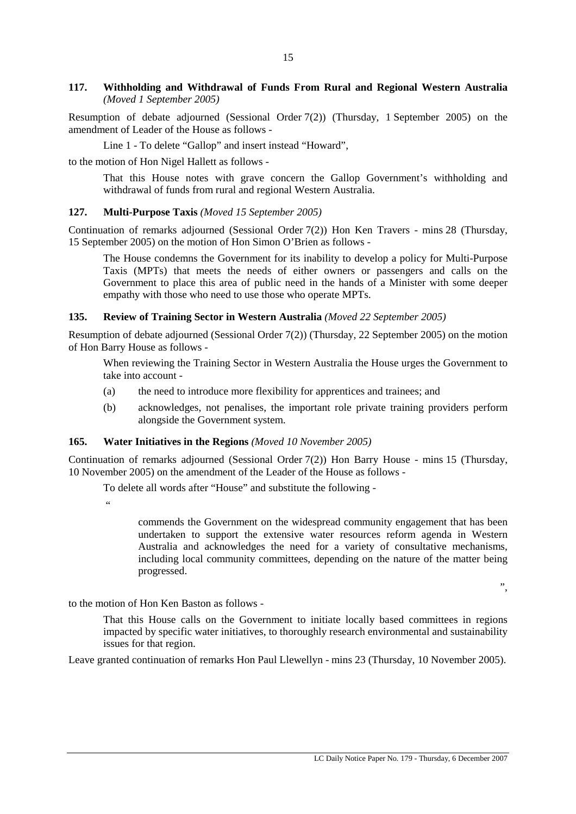# **117. Withholding and Withdrawal of Funds From Rural and Regional Western Australia** *(Moved 1 September 2005)*

Resumption of debate adjourned (Sessional Order 7(2)) (Thursday, 1 September 2005) on the amendment of Leader of the House as follows -

Line 1 - To delete "Gallop" and insert instead "Howard",

to the motion of Hon Nigel Hallett as follows -

That this House notes with grave concern the Gallop Government's withholding and withdrawal of funds from rural and regional Western Australia.

# **127. Multi-Purpose Taxis** *(Moved 15 September 2005)*

Continuation of remarks adjourned (Sessional Order  $7(2)$ ) Hon Ken Travers - mins 28 (Thursday, 15 September 2005) on the motion of Hon Simon O'Brien as follows -

The House condemns the Government for its inability to develop a policy for Multi-Purpose Taxis (MPTs) that meets the needs of either owners or passengers and calls on the Government to place this area of public need in the hands of a Minister with some deeper empathy with those who need to use those who operate MPTs.

# **135. Review of Training Sector in Western Australia** *(Moved 22 September 2005)*

Resumption of debate adjourned (Sessional Order 7(2)) (Thursday, 22 September 2005) on the motion of Hon Barry House as follows -

When reviewing the Training Sector in Western Australia the House urges the Government to take into account -

- (a) the need to introduce more flexibility for apprentices and trainees; and
- (b) acknowledges, not penalises, the important role private training providers perform alongside the Government system.

# **165. Water Initiatives in the Regions** *(Moved 10 November 2005)*

Continuation of remarks adjourned (Sessional Order 7(2)) Hon Barry House - mins 15 (Thursday, 10 November 2005) on the amendment of the Leader of the House as follows -

To delete all words after "House" and substitute the following -

.<br>..

commends the Government on the widespread community engagement that has been undertaken to support the extensive water resources reform agenda in Western Australia and acknowledges the need for a variety of consultative mechanisms, including local community committees, depending on the nature of the matter being progressed.

to the motion of Hon Ken Baston as follows -

That this House calls on the Government to initiate locally based committees in regions impacted by specific water initiatives, to thoroughly research environmental and sustainability issues for that region.

Leave granted continuation of remarks Hon Paul Llewellyn - mins 23 (Thursday, 10 November 2005).

",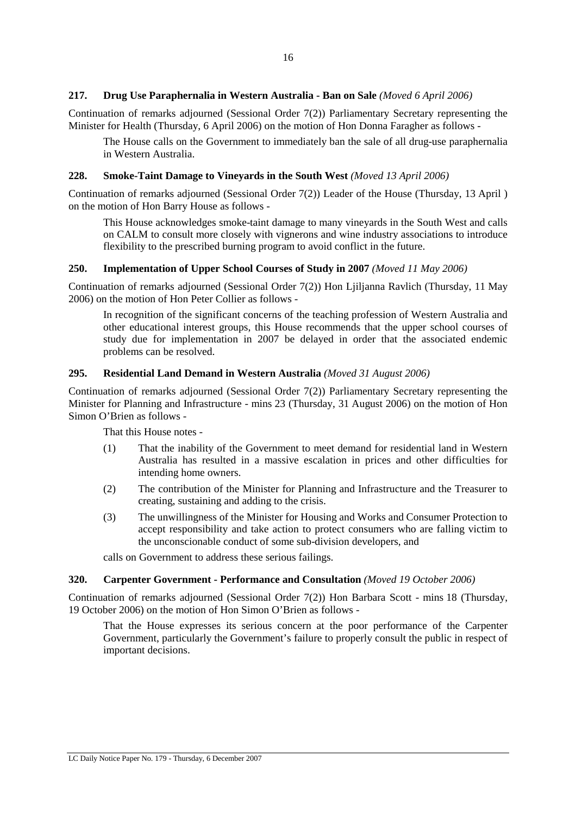### **217. Drug Use Paraphernalia in Western Australia - Ban on Sale** *(Moved 6 April 2006)*

Continuation of remarks adjourned (Sessional Order 7(2)) Parliamentary Secretary representing the Minister for Health (Thursday, 6 April 2006) on the motion of Hon Donna Faragher as follows -

The House calls on the Government to immediately ban the sale of all drug-use paraphernalia in Western Australia.

#### **228. Smoke-Taint Damage to Vineyards in the South West** *(Moved 13 April 2006)*

Continuation of remarks adjourned (Sessional Order 7(2)) Leader of the House (Thursday, 13 April ) on the motion of Hon Barry House as follows -

This House acknowledges smoke-taint damage to many vineyards in the South West and calls on CALM to consult more closely with vignerons and wine industry associations to introduce flexibility to the prescribed burning program to avoid conflict in the future.

#### **250. Implementation of Upper School Courses of Study in 2007** *(Moved 11 May 2006)*

Continuation of remarks adjourned (Sessional Order 7(2)) Hon Ljiljanna Ravlich (Thursday, 11 May 2006) on the motion of Hon Peter Collier as follows -

In recognition of the significant concerns of the teaching profession of Western Australia and other educational interest groups, this House recommends that the upper school courses of study due for implementation in 2007 be delayed in order that the associated endemic problems can be resolved.

#### **295. Residential Land Demand in Western Australia** *(Moved 31 August 2006)*

Continuation of remarks adjourned (Sessional Order 7(2)) Parliamentary Secretary representing the Minister for Planning and Infrastructure - mins 23 (Thursday, 31 August 2006) on the motion of Hon Simon O'Brien as follows -

That this House notes -

- (1) That the inability of the Government to meet demand for residential land in Western Australia has resulted in a massive escalation in prices and other difficulties for intending home owners.
- (2) The contribution of the Minister for Planning and Infrastructure and the Treasurer to creating, sustaining and adding to the crisis.
- (3) The unwillingness of the Minister for Housing and Works and Consumer Protection to accept responsibility and take action to protect consumers who are falling victim to the unconscionable conduct of some sub-division developers, and

calls on Government to address these serious failings.

# **320. Carpenter Government - Performance and Consultation** *(Moved 19 October 2006)*

Continuation of remarks adjourned (Sessional Order 7(2)) Hon Barbara Scott - mins 18 (Thursday, 19 October 2006) on the motion of Hon Simon O'Brien as follows -

That the House expresses its serious concern at the poor performance of the Carpenter Government, particularly the Government's failure to properly consult the public in respect of important decisions.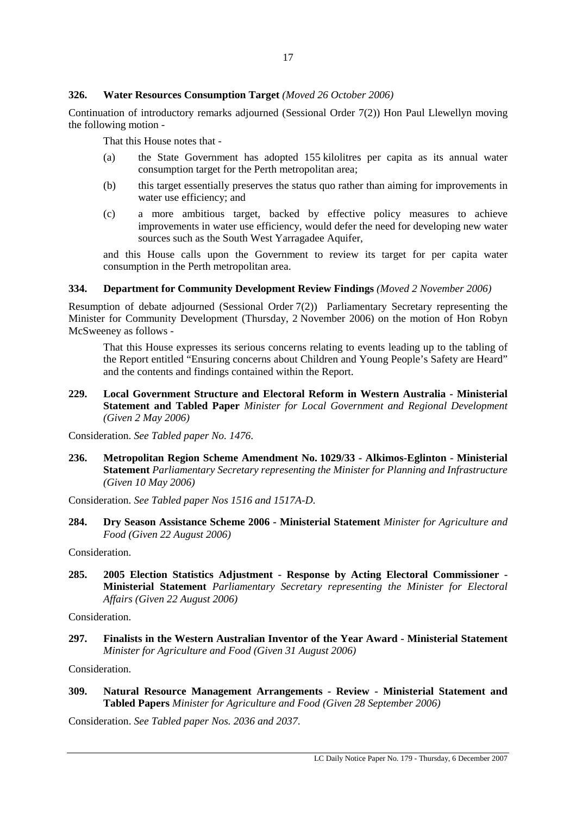# **326. Water Resources Consumption Target** *(Moved 26 October 2006)*

Continuation of introductory remarks adjourned (Sessional Order 7(2)) Hon Paul Llewellyn moving the following motion -

That this House notes that -

- (a) the State Government has adopted 155 kilolitres per capita as its annual water consumption target for the Perth metropolitan area;
- (b) this target essentially preserves the status quo rather than aiming for improvements in water use efficiency; and
- (c) a more ambitious target, backed by effective policy measures to achieve improvements in water use efficiency, would defer the need for developing new water sources such as the South West Yarragadee Aquifer,

and this House calls upon the Government to review its target for per capita water consumption in the Perth metropolitan area.

### **334. Department for Community Development Review Findings** *(Moved 2 November 2006)*

Resumption of debate adjourned (Sessional Order 7(2)) Parliamentary Secretary representing the Minister for Community Development (Thursday, 2 November 2006) on the motion of Hon Robyn McSweeney as follows -

That this House expresses its serious concerns relating to events leading up to the tabling of the Report entitled "Ensuring concerns about Children and Young People's Safety are Heard" and the contents and findings contained within the Report.

**229. Local Government Structure and Electoral Reform in Western Australia - Ministerial Statement and Tabled Paper** *Minister for Local Government and Regional Development (Given 2 May 2006)* 

Consideration. *See Tabled paper No. 1476*.

**236. Metropolitan Region Scheme Amendment No. 1029/33 - Alkimos-Eglinton - Ministerial Statement** *Parliamentary Secretary representing the Minister for Planning and Infrastructure (Given 10 May 2006)* 

Consideration. *See Tabled paper Nos 1516 and 1517A-D*.

**284. Dry Season Assistance Scheme 2006 - Ministerial Statement** *Minister for Agriculture and Food (Given 22 August 2006)* 

Consideration.

**285. 2005 Election Statistics Adjustment - Response by Acting Electoral Commissioner - Ministerial Statement** *Parliamentary Secretary representing the Minister for Electoral Affairs (Given 22 August 2006)* 

Consideration.

**297. Finalists in the Western Australian Inventor of the Year Award - Ministerial Statement**  *Minister for Agriculture and Food (Given 31 August 2006)* 

Consideration.

**309. Natural Resource Management Arrangements - Review - Ministerial Statement and Tabled Papers** *Minister for Agriculture and Food (Given 28 September 2006)* 

Consideration. *See Tabled paper Nos. 2036 and 2037*.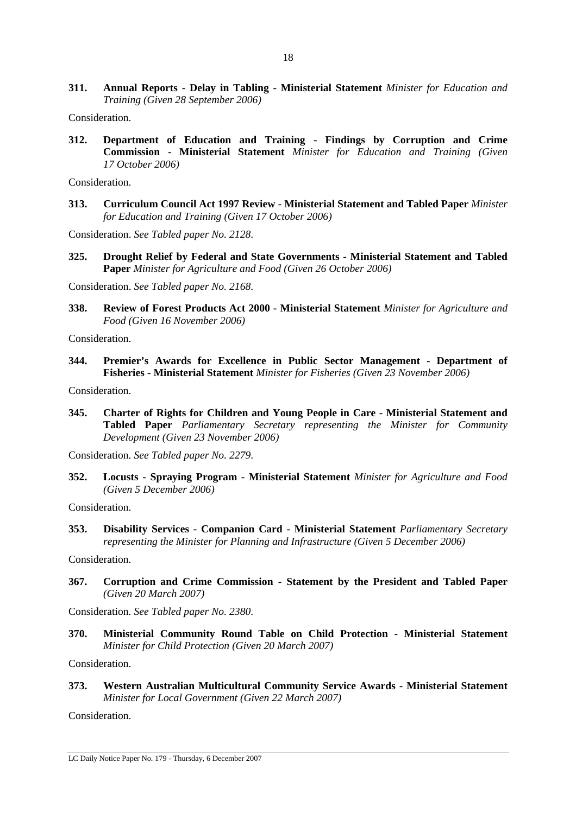**311. Annual Reports - Delay in Tabling - Ministerial Statement** *Minister for Education and Training (Given 28 September 2006)* 

Consideration.

**312. Department of Education and Training - Findings by Corruption and Crime Commission - Ministerial Statement** *Minister for Education and Training (Given 17 October 2006)* 

Consideration.

**313. Curriculum Council Act 1997 Review - Ministerial Statement and Tabled Paper** *Minister for Education and Training (Given 17 October 2006)* 

Consideration. *See Tabled paper No. 2128*.

**325. Drought Relief by Federal and State Governments - Ministerial Statement and Tabled Paper** *Minister for Agriculture and Food (Given 26 October 2006)* 

Consideration. *See Tabled paper No. 2168*.

**338. Review of Forest Products Act 2000 - Ministerial Statement** *Minister for Agriculture and Food (Given 16 November 2006)* 

Consideration.

**344. Premier's Awards for Excellence in Public Sector Management - Department of Fisheries - Ministerial Statement** *Minister for Fisheries (Given 23 November 2006)* 

Consideration.

**345. Charter of Rights for Children and Young People in Care - Ministerial Statement and Tabled Paper** *Parliamentary Secretary representing the Minister for Community Development (Given 23 November 2006)* 

Consideration. *See Tabled paper No. 2279*.

**352. Locusts - Spraying Program - Ministerial Statement** *Minister for Agriculture and Food (Given 5 December 2006)* 

Consideration.

**353. Disability Services - Companion Card - Ministerial Statement** *Parliamentary Secretary representing the Minister for Planning and Infrastructure (Given 5 December 2006)* 

Consideration.

**367. Corruption and Crime Commission - Statement by the President and Tabled Paper**  *(Given 20 March 2007)* 

Consideration. *See Tabled paper No. 2380*.

**370. Ministerial Community Round Table on Child Protection - Ministerial Statement**  *Minister for Child Protection (Given 20 March 2007)* 

Consideration.

**373. Western Australian Multicultural Community Service Awards - Ministerial Statement**  *Minister for Local Government (Given 22 March 2007)* 

Consideration.

LC Daily Notice Paper No. 179 - Thursday, 6 December 2007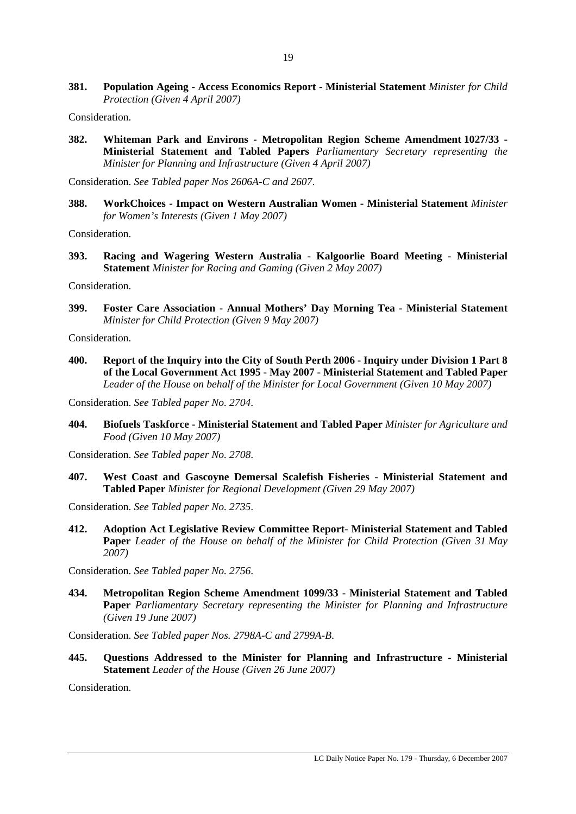**381. Population Ageing - Access Economics Report - Ministerial Statement** *Minister for Child Protection (Given 4 April 2007)* 

Consideration.

**382. Whiteman Park and Environs - Metropolitan Region Scheme Amendment 1027/33 - Ministerial Statement and Tabled Papers** *Parliamentary Secretary representing the Minister for Planning and Infrastructure (Given 4 April 2007)* 

Consideration. *See Tabled paper Nos 2606A-C and 2607*.

**388. WorkChoices - Impact on Western Australian Women - Ministerial Statement** *Minister for Women's Interests (Given 1 May 2007)* 

Consideration.

**393. Racing and Wagering Western Australia - Kalgoorlie Board Meeting - Ministerial Statement** *Minister for Racing and Gaming (Given 2 May 2007)* 

Consideration.

**399. Foster Care Association - Annual Mothers' Day Morning Tea - Ministerial Statement**  *Minister for Child Protection (Given 9 May 2007)* 

Consideration.

**400. Report of the Inquiry into the City of South Perth 2006 - Inquiry under Division 1 Part 8 of the Local Government Act 1995 - May 2007 - Ministerial Statement and Tabled Paper** Leader of the House on behalf of the Minister for Local Government (Given 10 May 2007)

Consideration. *See Tabled paper No. 2704*.

**404. Biofuels Taskforce - Ministerial Statement and Tabled Paper** *Minister for Agriculture and Food (Given 10 May 2007)* 

Consideration. *See Tabled paper No. 2708*.

**407. West Coast and Gascoyne Demersal Scalefish Fisheries - Ministerial Statement and Tabled Paper** *Minister for Regional Development (Given 29 May 2007)* 

Consideration. *See Tabled paper No. 2735*.

**412. Adoption Act Legislative Review Committee Report- Ministerial Statement and Tabled Paper** *Leader of the House on behalf of the Minister for Child Protection (Given 31 May 2007)* 

Consideration. *See Tabled paper No. 2756*.

**434. Metropolitan Region Scheme Amendment 1099/33 - Ministerial Statement and Tabled Paper** *Parliamentary Secretary representing the Minister for Planning and Infrastructure (Given 19 June 2007)* 

Consideration. *See Tabled paper Nos. 2798A-C and 2799A-B*.

**445. Questions Addressed to the Minister for Planning and Infrastructure - Ministerial Statement** *Leader of the House (Given 26 June 2007)* 

Consideration.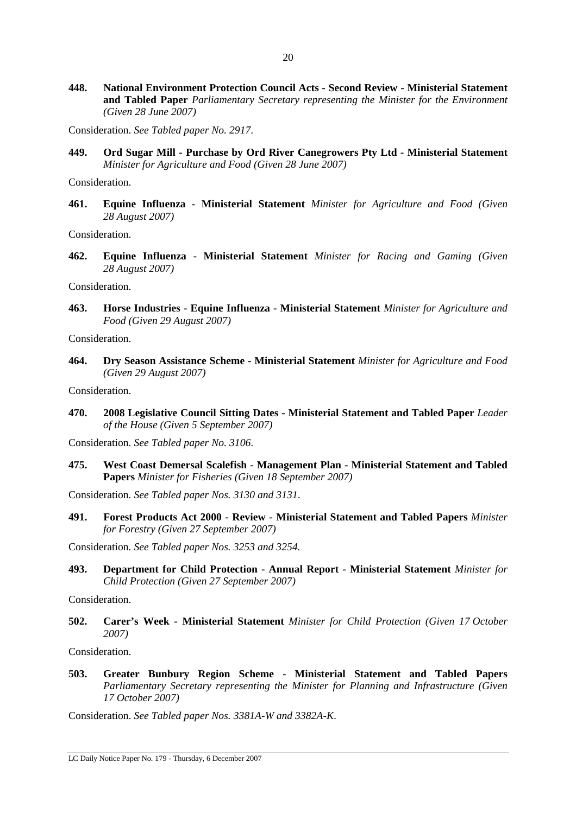**448. National Environment Protection Council Acts - Second Review - Ministerial Statement and Tabled Paper** *Parliamentary Secretary representing the Minister for the Environment (Given 28 June 2007)* 

Consideration. *See Tabled paper No. 2917*.

**449. Ord Sugar Mill - Purchase by Ord River Canegrowers Pty Ltd - Ministerial Statement**  *Minister for Agriculture and Food (Given 28 June 2007)* 

Consideration.

**461. Equine Influenza - Ministerial Statement** *Minister for Agriculture and Food (Given 28 August 2007)* 

Consideration.

**462. Equine Influenza - Ministerial Statement** *Minister for Racing and Gaming (Given 28 August 2007)* 

Consideration.

**463. Horse Industries - Equine Influenza - Ministerial Statement** *Minister for Agriculture and Food (Given 29 August 2007)* 

Consideration.

**464. Dry Season Assistance Scheme - Ministerial Statement** *Minister for Agriculture and Food (Given 29 August 2007)* 

Consideration.

**470. 2008 Legislative Council Sitting Dates - Ministerial Statement and Tabled Paper** *Leader of the House (Given 5 September 2007)* 

Consideration. *See Tabled paper No. 3106*.

**475. West Coast Demersal Scalefish - Management Plan - Ministerial Statement and Tabled Papers** *Minister for Fisheries (Given 18 September 2007)* 

Consideration. *See Tabled paper Nos. 3130 and 3131*.

**491. Forest Products Act 2000 - Review - Ministerial Statement and Tabled Papers** *Minister for Forestry (Given 27 September 2007)* 

Consideration. *See Tabled paper Nos. 3253 and 3254.*

**493. Department for Child Protection - Annual Report - Ministerial Statement** *Minister for Child Protection (Given 27 September 2007)* 

Consideration.

**502. Carer's Week - Ministerial Statement** *Minister for Child Protection (Given 17 October 2007)* 

Consideration.

**503. Greater Bunbury Region Scheme - Ministerial Statement and Tabled Papers** *Parliamentary Secretary representing the Minister for Planning and Infrastructure (Given 17 October 2007)* 

Consideration. *See Tabled paper Nos. 3381A-W and 3382A-K*.

LC Daily Notice Paper No. 179 - Thursday, 6 December 2007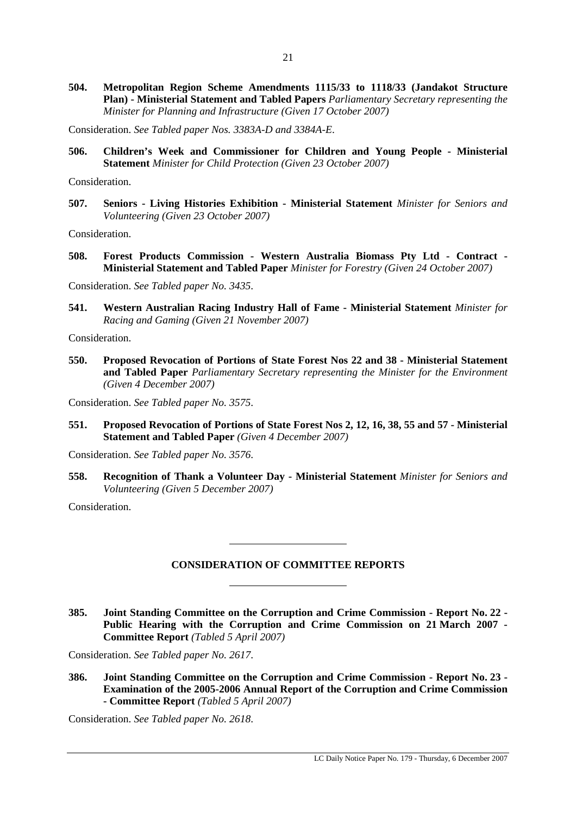**504. Metropolitan Region Scheme Amendments 1115/33 to 1118/33 (Jandakot Structure Plan) - Ministerial Statement and Tabled Papers** *Parliamentary Secretary representing the Minister for Planning and Infrastructure (Given 17 October 2007)* 

Consideration. *See Tabled paper Nos. 3383A-D and 3384A-E*.

**506. Children's Week and Commissioner for Children and Young People - Ministerial Statement** *Minister for Child Protection (Given 23 October 2007)* 

Consideration.

**507. Seniors - Living Histories Exhibition - Ministerial Statement** *Minister for Seniors and Volunteering (Given 23 October 2007)* 

Consideration.

**508. Forest Products Commission - Western Australia Biomass Pty Ltd - Contract - Ministerial Statement and Tabled Paper** *Minister for Forestry (Given 24 October 2007)* 

Consideration. *See Tabled paper No. 3435*.

**541. Western Australian Racing Industry Hall of Fame - Ministerial Statement** *Minister for Racing and Gaming (Given 21 November 2007)* 

Consideration.

**550. Proposed Revocation of Portions of State Forest Nos 22 and 38 - Ministerial Statement and Tabled Paper** *Parliamentary Secretary representing the Minister for the Environment (Given 4 December 2007)* 

Consideration. *See Tabled paper No. 3575*.

**551. Proposed Revocation of Portions of State Forest Nos 2, 12, 16, 38, 55 and 57 - Ministerial Statement and Tabled Paper** *(Given 4 December 2007)* 

Consideration. *See Tabled paper No. 3576*.

**558. Recognition of Thank a Volunteer Day - Ministerial Statement** *Minister for Seniors and Volunteering (Given 5 December 2007)* 

Consideration.

# **CONSIDERATION OF COMMITTEE REPORTS**

 $\overline{a}$ 

 $\overline{a}$ 

**385. Joint Standing Committee on the Corruption and Crime Commission - Report No. 22 - Public Hearing with the Corruption and Crime Commission on 21 March 2007 - Committee Report** *(Tabled 5 April 2007)* 

Consideration. *See Tabled paper No. 2617*.

**386. Joint Standing Committee on the Corruption and Crime Commission - Report No. 23 - Examination of the 2005-2006 Annual Report of the Corruption and Crime Commission - Committee Report** *(Tabled 5 April 2007)* 

Consideration. *See Tabled paper No. 2618*.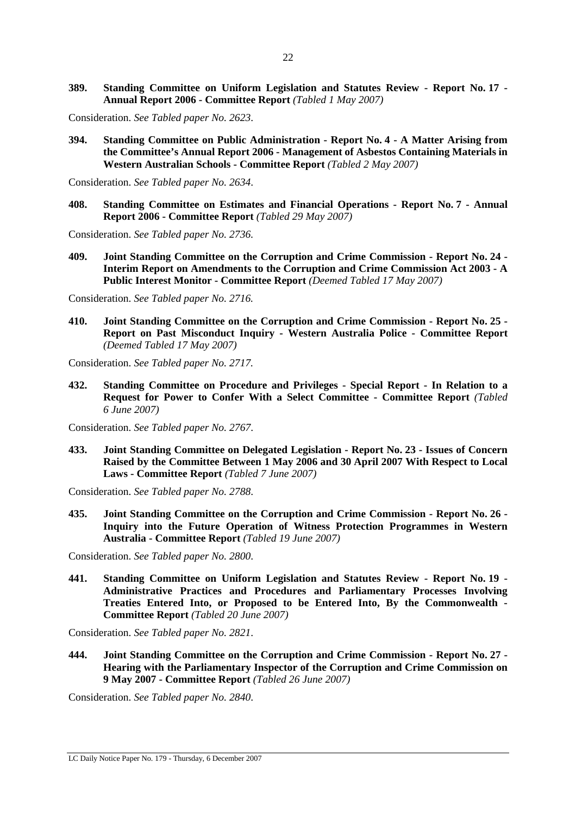**389. Standing Committee on Uniform Legislation and Statutes Review - Report No. 17 - Annual Report 2006 - Committee Report** *(Tabled 1 May 2007)* 

Consideration. *See Tabled paper No. 2623*.

**394. Standing Committee on Public Administration - Report No. 4 - A Matter Arising from the Committee's Annual Report 2006 - Management of Asbestos Containing Materials in Western Australian Schools - Committee Report** *(Tabled 2 May 2007)* 

Consideration. *See Tabled paper No. 2634*.

**408. Standing Committee on Estimates and Financial Operations - Report No. 7 - Annual Report 2006 - Committee Report** *(Tabled 29 May 2007)* 

Consideration. *See Tabled paper No. 2736.*

**409. Joint Standing Committee on the Corruption and Crime Commission - Report No. 24 - Interim Report on Amendments to the Corruption and Crime Commission Act 2003 - A Public Interest Monitor - Committee Report** *(Deemed Tabled 17 May 2007)* 

Consideration. *See Tabled paper No. 2716.* 

**410. Joint Standing Committee on the Corruption and Crime Commission - Report No. 25 - Report on Past Misconduct Inquiry - Western Australia Police - Committee Report**  *(Deemed Tabled 17 May 2007)* 

Consideration. *See Tabled paper No. 2717.* 

**432. Standing Committee on Procedure and Privileges - Special Report - In Relation to a Request for Power to Confer With a Select Committee - Committee Report** *(Tabled 6 June 2007)* 

Consideration. *See Tabled paper No. 2767*.

**433. Joint Standing Committee on Delegated Legislation - Report No. 23 - Issues of Concern Raised by the Committee Between 1 May 2006 and 30 April 2007 With Respect to Local Laws - Committee Report** *(Tabled 7 June 2007)* 

Consideration. *See Tabled paper No. 2788*.

**435. Joint Standing Committee on the Corruption and Crime Commission - Report No. 26 - Inquiry into the Future Operation of Witness Protection Programmes in Western Australia - Committee Report** *(Tabled 19 June 2007)* 

Consideration. *See Tabled paper No. 2800*.

**441. Standing Committee on Uniform Legislation and Statutes Review - Report No. 19 - Administrative Practices and Procedures and Parliamentary Processes Involving Treaties Entered Into, or Proposed to be Entered Into, By the Commonwealth - Committee Report** *(Tabled 20 June 2007)* 

Consideration. *See Tabled paper No. 2821*.

**444. Joint Standing Committee on the Corruption and Crime Commission - Report No. 27 - Hearing with the Parliamentary Inspector of the Corruption and Crime Commission on 9 May 2007 - Committee Report** *(Tabled 26 June 2007)* 

Consideration. *See Tabled paper No. 2840*.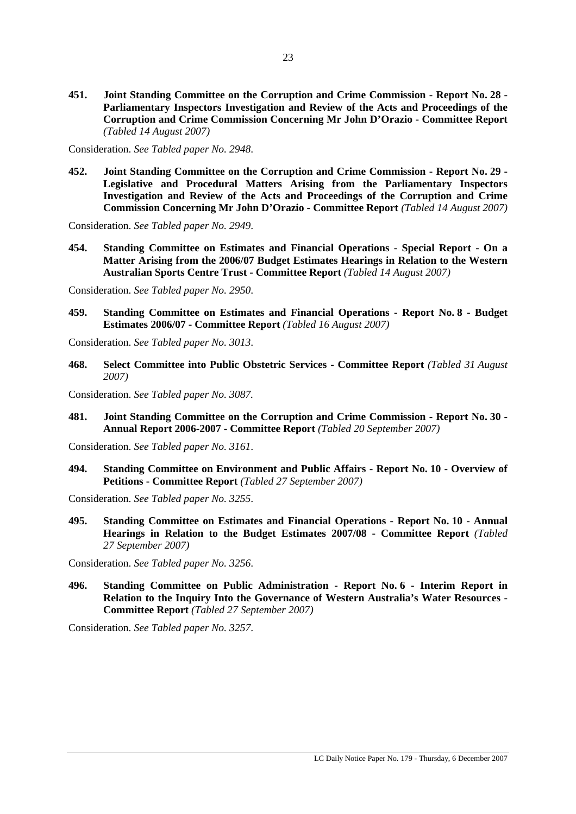**451. Joint Standing Committee on the Corruption and Crime Commission - Report No. 28 - Parliamentary Inspectors Investigation and Review of the Acts and Proceedings of the Corruption and Crime Commission Concerning Mr John D'Orazio - Committee Report**  *(Tabled 14 August 2007)* 

Consideration. *See Tabled paper No. 2948*.

**452. Joint Standing Committee on the Corruption and Crime Commission - Report No. 29 - Legislative and Procedural Matters Arising from the Parliamentary Inspectors Investigation and Review of the Acts and Proceedings of the Corruption and Crime Commission Concerning Mr John D'Orazio - Committee Report** *(Tabled 14 August 2007)* 

Consideration. *See Tabled paper No. 2949*.

**454. Standing Committee on Estimates and Financial Operations - Special Report - On a Matter Arising from the 2006/07 Budget Estimates Hearings in Relation to the Western Australian Sports Centre Trust - Committee Report** *(Tabled 14 August 2007)* 

Consideration. *See Tabled paper No. 2950*.

**459. Standing Committee on Estimates and Financial Operations - Report No. 8 - Budget Estimates 2006/07 - Committee Report** *(Tabled 16 August 2007)* 

Consideration. *See Tabled paper No. 3013*.

**468. Select Committee into Public Obstetric Services - Committee Report** *(Tabled 31 August 2007)* 

Consideration. *See Tabled paper No. 3087.* 

**481. Joint Standing Committee on the Corruption and Crime Commission - Report No. 30 - Annual Report 2006-2007 - Committee Report** *(Tabled 20 September 2007)* 

Consideration. *See Tabled paper No. 3161*.

**494. Standing Committee on Environment and Public Affairs - Report No. 10 - Overview of Petitions - Committee Report** *(Tabled 27 September 2007)* 

Consideration. *See Tabled paper No. 3255*.

**495. Standing Committee on Estimates and Financial Operations - Report No. 10 - Annual Hearings in Relation to the Budget Estimates 2007/08 - Committee Report** *(Tabled 27 September 2007)* 

Consideration. *See Tabled paper No. 3256*.

**496. Standing Committee on Public Administration - Report No. 6 - Interim Report in Relation to the Inquiry Into the Governance of Western Australia's Water Resources - Committee Report** *(Tabled 27 September 2007)* 

Consideration. *See Tabled paper No. 3257*.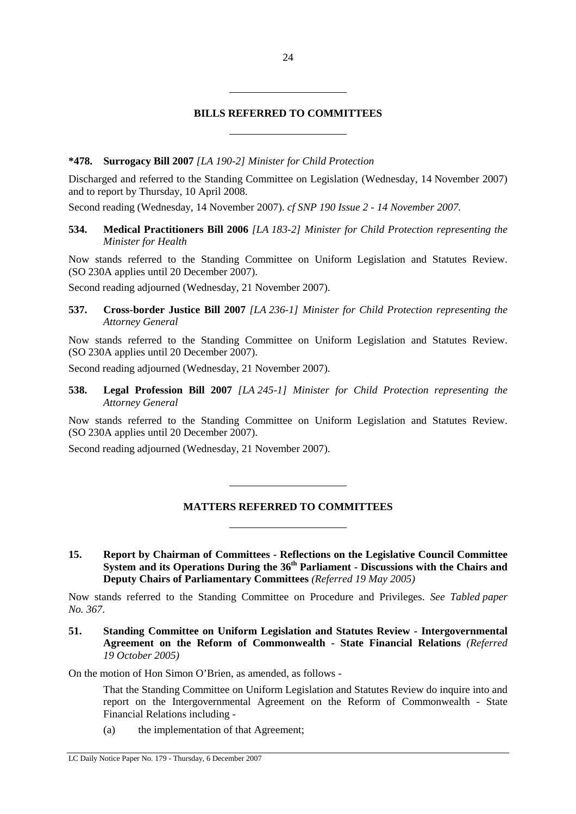### **BILLS REFERRED TO COMMITTEES**

### **\*478. Surrogacy Bill 2007** *[LA 190-2] Minister for Child Protection*

 $\overline{a}$ 

 $\overline{a}$ 

Discharged and referred to the Standing Committee on Legislation (Wednesday, 14 November 2007) and to report by Thursday, 10 April 2008.

Second reading (Wednesday, 14 November 2007). *cf SNP 190 Issue 2 - 14 November 2007.* 

### **534. Medical Practitioners Bill 2006** *[LA 183-2] Minister for Child Protection representing the Minister for Health*

Now stands referred to the Standing Committee on Uniform Legislation and Statutes Review. (SO 230A applies until 20 December 2007).

Second reading adjourned (Wednesday, 21 November 2007).

**537. Cross-border Justice Bill 2007** *[LA 236-1] Minister for Child Protection representing the Attorney General*

Now stands referred to the Standing Committee on Uniform Legislation and Statutes Review. (SO 230A applies until 20 December 2007).

Second reading adjourned (Wednesday, 21 November 2007).

**538. Legal Profession Bill 2007** *[LA 245-1] Minister for Child Protection representing the Attorney General*

Now stands referred to the Standing Committee on Uniform Legislation and Statutes Review. (SO 230A applies until 20 December 2007).

Second reading adjourned (Wednesday, 21 November 2007).

 $\overline{a}$ 

 $\overline{a}$ 

### **MATTERS REFERRED TO COMMITTEES**

**15. Report by Chairman of Committees - Reflections on the Legislative Council Committee System and its Operations During the 36<sup>th</sup> Parliament - Discussions with the Chairs and Deputy Chairs of Parliamentary Committees** *(Referred 19 May 2005)* 

Now stands referred to the Standing Committee on Procedure and Privileges. *See Tabled paper No. 367*.

**51. Standing Committee on Uniform Legislation and Statutes Review - Intergovernmental Agreement on the Reform of Commonwealth - State Financial Relations** *(Referred 19 October 2005)* 

On the motion of Hon Simon O'Brien, as amended, as follows -

That the Standing Committee on Uniform Legislation and Statutes Review do inquire into and report on the Intergovernmental Agreement on the Reform of Commonwealth - State Financial Relations including -

(a) the implementation of that Agreement;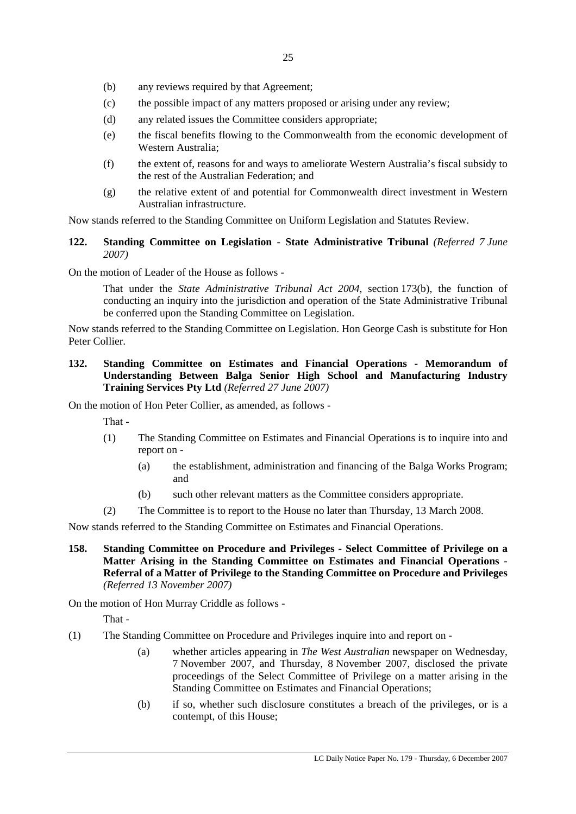- (b) any reviews required by that Agreement;
- (c) the possible impact of any matters proposed or arising under any review;
- (d) any related issues the Committee considers appropriate;
- (e) the fiscal benefits flowing to the Commonwealth from the economic development of Western Australia;
- (f) the extent of, reasons for and ways to ameliorate Western Australia's fiscal subsidy to the rest of the Australian Federation; and
- (g) the relative extent of and potential for Commonwealth direct investment in Western Australian infrastructure.

Now stands referred to the Standing Committee on Uniform Legislation and Statutes Review.

# **122. Standing Committee on Legislation - State Administrative Tribunal** *(Referred 7 June 2007)*

On the motion of Leader of the House as follows -

That under the *State Administrative Tribunal Act 2004*, section 173(b), the function of conducting an inquiry into the jurisdiction and operation of the State Administrative Tribunal be conferred upon the Standing Committee on Legislation.

Now stands referred to the Standing Committee on Legislation. Hon George Cash is substitute for Hon Peter Collier.

# **132. Standing Committee on Estimates and Financial Operations - Memorandum of Understanding Between Balga Senior High School and Manufacturing Industry Training Services Pty Ltd** *(Referred 27 June 2007)*

On the motion of Hon Peter Collier, as amended, as follows -

That -

- (1) The Standing Committee on Estimates and Financial Operations is to inquire into and report on -
	- (a) the establishment, administration and financing of the Balga Works Program; and
	- (b) such other relevant matters as the Committee considers appropriate.
- (2) The Committee is to report to the House no later than Thursday, 13 March 2008.

Now stands referred to the Standing Committee on Estimates and Financial Operations.

**158. Standing Committee on Procedure and Privileges - Select Committee of Privilege on a Matter Arising in the Standing Committee on Estimates and Financial Operations - Referral of a Matter of Privilege to the Standing Committee on Procedure and Privileges**  *(Referred 13 November 2007)* 

On the motion of Hon Murray Criddle as follows -

That -

- (1) The Standing Committee on Procedure and Privileges inquire into and report on
	- (a) whether articles appearing in *The West Australian* newspaper on Wednesday, 7 November 2007, and Thursday, 8 November 2007, disclosed the private proceedings of the Select Committee of Privilege on a matter arising in the Standing Committee on Estimates and Financial Operations;
	- (b) if so, whether such disclosure constitutes a breach of the privileges, or is a contempt, of this House;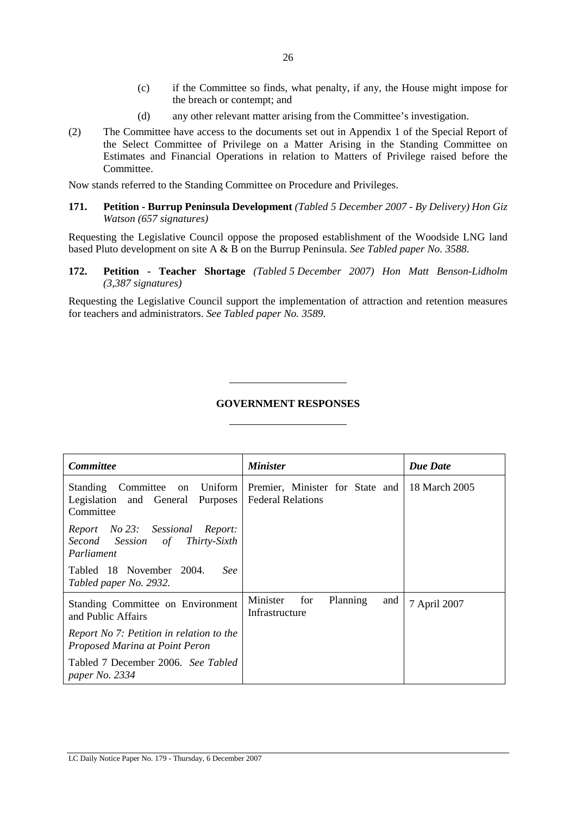- (c) if the Committee so finds, what penalty, if any, the House might impose for the breach or contempt; and
- (d) any other relevant matter arising from the Committee's investigation.
- (2) The Committee have access to the documents set out in Appendix 1 of the Special Report of the Select Committee of Privilege on a Matter Arising in the Standing Committee on Estimates and Financial Operations in relation to Matters of Privilege raised before the Committee.

Now stands referred to the Standing Committee on Procedure and Privileges.

 $\overline{a}$ 

 $\overline{a}$ 

**171. Petition - Burrup Peninsula Development** *(Tabled 5 December 2007 - By Delivery) Hon Giz Watson (657 signatures)* 

Requesting the Legislative Council oppose the proposed establishment of the Woodside LNG land based Pluto development on site A & B on the Burrup Peninsula. *See Tabled paper No. 3588*.

**172. Petition - Teacher Shortage** *(Tabled 5 December 2007) Hon Matt Benson-Lidholm (3,387 signatures)* 

Requesting the Legislative Council support the implementation of attraction and retention measures for teachers and administrators. *See Tabled paper No. 3589*.

# **GOVERNMENT RESPONSES**

| <b>Committee</b>                                                                          | <b>Minister</b>                                             | <b>Due Date</b> |
|-------------------------------------------------------------------------------------------|-------------------------------------------------------------|-----------------|
| Standing Committee on Uniform<br>Legislation and General Purposes<br>Committee            | Premier, Minister for State and<br><b>Federal Relations</b> | 18 March 2005   |
| Report No 23: Sessional Report:<br>Second Session of<br><i>Thirty-Sixth</i><br>Parliament |                                                             |                 |
| Tabled 18 November 2004.<br>See<br>Tabled paper No. 2932.                                 |                                                             |                 |
| Standing Committee on Environment<br>and Public Affairs                                   | Minister<br>for<br>Planning<br>and<br>Infrastructure        | 7 April 2007    |
| Report No. 7: Petition in relation to the<br>Proposed Marina at Point Peron               |                                                             |                 |
| Tabled 7 December 2006. See Tabled<br>paper No. 2334                                      |                                                             |                 |